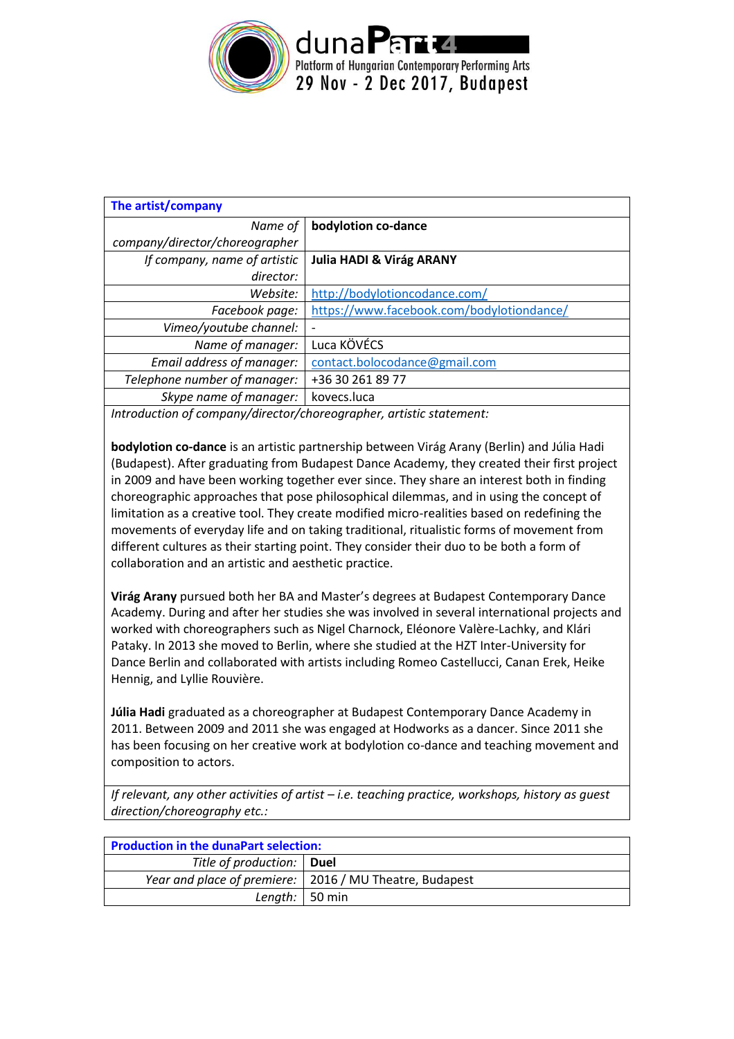

| The artist/company             |                                           |  |  |  |
|--------------------------------|-------------------------------------------|--|--|--|
| Name of                        | bodylotion co-dance                       |  |  |  |
| company/director/choreographer |                                           |  |  |  |
| If company, name of artistic   | <b>Julia HADI &amp; Virág ARANY</b>       |  |  |  |
| director:                      |                                           |  |  |  |
| Website:                       | http://bodylotioncodance.com/             |  |  |  |
| Facebook page:                 | https://www.facebook.com/bodylotiondance/ |  |  |  |
| Vimeo/youtube channel:         |                                           |  |  |  |
| Name of manager:               | Luca KÖVÉCS                               |  |  |  |
| Email address of manager:      | contact.bolocodance@gmail.com             |  |  |  |
| Telephone number of manager:   | +36 30 261 89 77                          |  |  |  |
| Skype name of manager:         | kovecs.luca                               |  |  |  |
|                                |                                           |  |  |  |

*Introduction of company/director/choreographer, artistic statement:*

**bodylotion co-dance** is an artistic partnership between Virág Arany (Berlin) and Júlia Hadi (Budapest). After graduating from Budapest Dance Academy, they created their first project in 2009 and have been working together ever since. They share an interest both in finding choreographic approaches that pose philosophical dilemmas, and in using the concept of limitation as a creative tool. They create modified micro-realities based on redefining the movements of everyday life and on taking traditional, ritualistic forms of movement from different cultures as their starting point. They consider their duo to be both a form of collaboration and an artistic and aesthetic practice.

**Virág Arany** pursued both her BA and Master's degrees at Budapest Contemporary Dance Academy. During and after her studies she was involved in several international projects and worked with choreographers such as Nigel Charnock, Eléonore Valère-Lachky, and Klári Pataky. In 2013 she moved to Berlin, where she studied at the HZT Inter-University for Dance Berlin and collaborated with artists including Romeo Castellucci, Canan Erek, Heike Hennig, and Lyllie Rouvière.

**Júlia Hadi** graduated as a choreographer at Budapest Contemporary Dance Academy in 2011. Between 2009 and 2011 she was engaged at Hodworks as a dancer. Since 2011 she has been focusing on her creative work at bodylotion co-dance and teaching movement and composition to actors.

*If relevant, any other activities of artist – i.e. teaching practice, workshops, history as guest direction/choreography etc.:* 

| <b>Production in the dunaPart selection:</b> |                                                           |  |  |
|----------------------------------------------|-----------------------------------------------------------|--|--|
| Title of production:   Duel                  |                                                           |  |  |
|                                              | Year and place of premiere:   2016 / MU Theatre, Budapest |  |  |
| Length: $\vert$ 50 min                       |                                                           |  |  |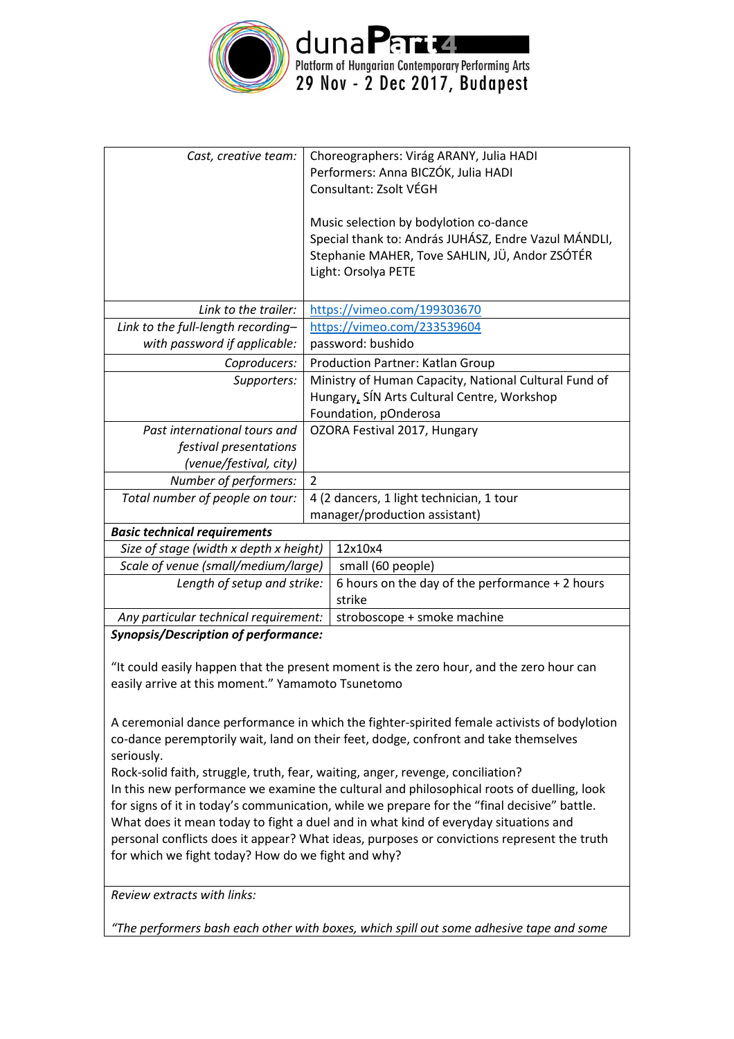

| Cast, creative team:                        |                                                       | Choreographers: Virág ARANY, Julia HADI              |  |
|---------------------------------------------|-------------------------------------------------------|------------------------------------------------------|--|
|                                             |                                                       | Performers: Anna BICZÓK, Julia HADI                  |  |
|                                             |                                                       | Consultant: Zsolt VÉGH                               |  |
|                                             |                                                       |                                                      |  |
|                                             |                                                       | Music selection by bodylotion co-dance               |  |
|                                             |                                                       | Special thank to: András JUHÁSZ, Endre Vazul MÁNDLI, |  |
|                                             |                                                       | Stephanie MAHER, Tove SAHLIN, JÜ, Andor ZSÓTÉR       |  |
|                                             |                                                       | Light: Orsolya PETE                                  |  |
|                                             |                                                       |                                                      |  |
| Link to the trailer:                        | https://vimeo.com/199303670                           |                                                      |  |
| Link to the full-length recording-          | https://vimeo.com/233539604                           |                                                      |  |
| with password if applicable:                | password: bushido                                     |                                                      |  |
| Coproducers:                                | Production Partner: Katlan Group                      |                                                      |  |
| Supporters:                                 | Ministry of Human Capacity, National Cultural Fund of |                                                      |  |
|                                             |                                                       | Hungary, SÍN Arts Cultural Centre, Workshop          |  |
|                                             |                                                       | Foundation, pOnderosa                                |  |
| Past international tours and                | OZORA Festival 2017, Hungary                          |                                                      |  |
| festival presentations                      |                                                       |                                                      |  |
| (venue/festival, city)                      |                                                       |                                                      |  |
| Number of performers:                       | $\overline{2}$                                        |                                                      |  |
| Total number of people on tour:             | 4 (2 dancers, 1 light technician, 1 tour              |                                                      |  |
|                                             |                                                       | manager/production assistant)                        |  |
| <b>Basic technical requirements</b>         |                                                       |                                                      |  |
| Size of stage (width x depth x height)      |                                                       | 12x10x4                                              |  |
| Scale of venue (small/medium/large)         |                                                       | small (60 people)                                    |  |
| Length of setup and strike:                 |                                                       | 6 hours on the day of the performance + 2 hours      |  |
|                                             |                                                       | strike                                               |  |
| Any particular technical requirement:       |                                                       | stroboscope + smoke machine                          |  |
| <b>Synopsis/Description of performance:</b> |                                                       |                                                      |  |

"It could easily happen that the present moment is the zero hour, and the zero hour can easily arrive at this moment." Yamamoto Tsunetomo

A ceremonial dance performance in which the fighter-spirited female activists of bodylotion co-dance peremptorily wait, land on their feet, dodge, confront and take themselves seriously.

Rock-solid faith, struggle, truth, fear, waiting, anger, revenge, conciliation? In this new performance we examine the cultural and philosophical roots of duelling, look for signs of it in today's communication, while we prepare for the "final decisive" battle. What does it mean today to fight a duel and in what kind of everyday situations and personal conflicts does it appear? What ideas, purposes or convictions represent the truth for which we fight today? How do we fight and why?

*Review extracts with links:*

*"The performers bash each other with boxes, which spill out some adhesive tape and some*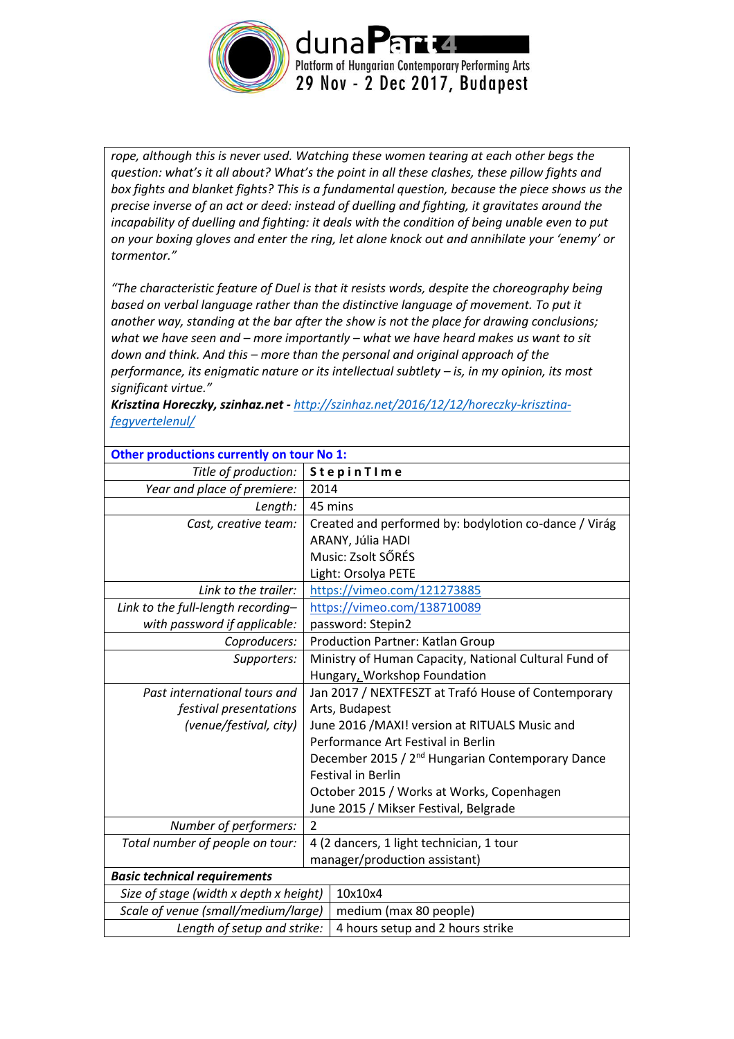

*rope, although this is never used. Watching these women tearing at each other begs the question: what's it all about? What's the point in all these clashes, these pillow fights and box fights and blanket fights? This is a fundamental question, because the piece shows us the precise inverse of an act or deed: instead of duelling and fighting, it gravitates around the incapability of duelling and fighting: it deals with the condition of being unable even to put on your boxing gloves and enter the ring, let alone knock out and annihilate your 'enemy' or tormentor."*

*"The characteristic feature of Duel is that it resists words, despite the choreography being based on verbal language rather than the distinctive language of movement. To put it another way, standing at the bar after the show is not the place for drawing conclusions; what we have seen and – more importantly – what we have heard makes us want to sit down and think. And this – more than the personal and original approach of the performance, its enigmatic nature or its intellectual subtlety – is, in my opinion, its most significant virtue."* 

*Krisztina Horeczky, szinhaz.net - [http://szinhaz.net/2016/12/12/horeczky-krisztina](http://szinhaz.net/2016/12/12/horeczky-krisztina-fegyvertelenul/)[fegyvertelenul/](http://szinhaz.net/2016/12/12/horeczky-krisztina-fegyvertelenul/)*

| Other productions currently on tour No 1: |                                                              |  |  |  |  |
|-------------------------------------------|--------------------------------------------------------------|--|--|--|--|
| Title of production:                      | StepinTIme                                                   |  |  |  |  |
| Year and place of premiere:               | 2014                                                         |  |  |  |  |
| Length:                                   | 45 mins                                                      |  |  |  |  |
| Cast, creative team:                      | Created and performed by: bodylotion co-dance / Virág        |  |  |  |  |
|                                           | ARANY, Júlia HADI                                            |  |  |  |  |
|                                           | Music: Zsolt SŐRÉS                                           |  |  |  |  |
|                                           | Light: Orsolya PETE                                          |  |  |  |  |
| Link to the trailer:                      | https://vimeo.com/121273885                                  |  |  |  |  |
| Link to the full-length recording-        | https://vimeo.com/138710089                                  |  |  |  |  |
| with password if applicable:              | password: Stepin2                                            |  |  |  |  |
| Coproducers:                              | Production Partner: Katlan Group                             |  |  |  |  |
| Supporters:                               | Ministry of Human Capacity, National Cultural Fund of        |  |  |  |  |
|                                           | Hungary, Workshop Foundation                                 |  |  |  |  |
| Past international tours and              | Jan 2017 / NEXTFESZT at Trafó House of Contemporary          |  |  |  |  |
| festival presentations                    | Arts, Budapest                                               |  |  |  |  |
| (venue/festival, city)                    | June 2016 /MAXI! version at RITUALS Music and                |  |  |  |  |
|                                           | Performance Art Festival in Berlin                           |  |  |  |  |
|                                           | December 2015 / 2 <sup>nd</sup> Hungarian Contemporary Dance |  |  |  |  |
|                                           | <b>Festival in Berlin</b>                                    |  |  |  |  |
|                                           | October 2015 / Works at Works, Copenhagen                    |  |  |  |  |
|                                           | June 2015 / Mikser Festival, Belgrade                        |  |  |  |  |
| Number of performers:                     | 2                                                            |  |  |  |  |
| Total number of people on tour:           | 4 (2 dancers, 1 light technician, 1 tour                     |  |  |  |  |
|                                           | manager/production assistant)                                |  |  |  |  |
| <b>Basic technical requirements</b>       |                                                              |  |  |  |  |
| Size of stage (width x depth x height)    | 10x10x4                                                      |  |  |  |  |
| Scale of venue (small/medium/large)       | medium (max 80 people)                                       |  |  |  |  |
| Length of setup and strike:               | 4 hours setup and 2 hours strike                             |  |  |  |  |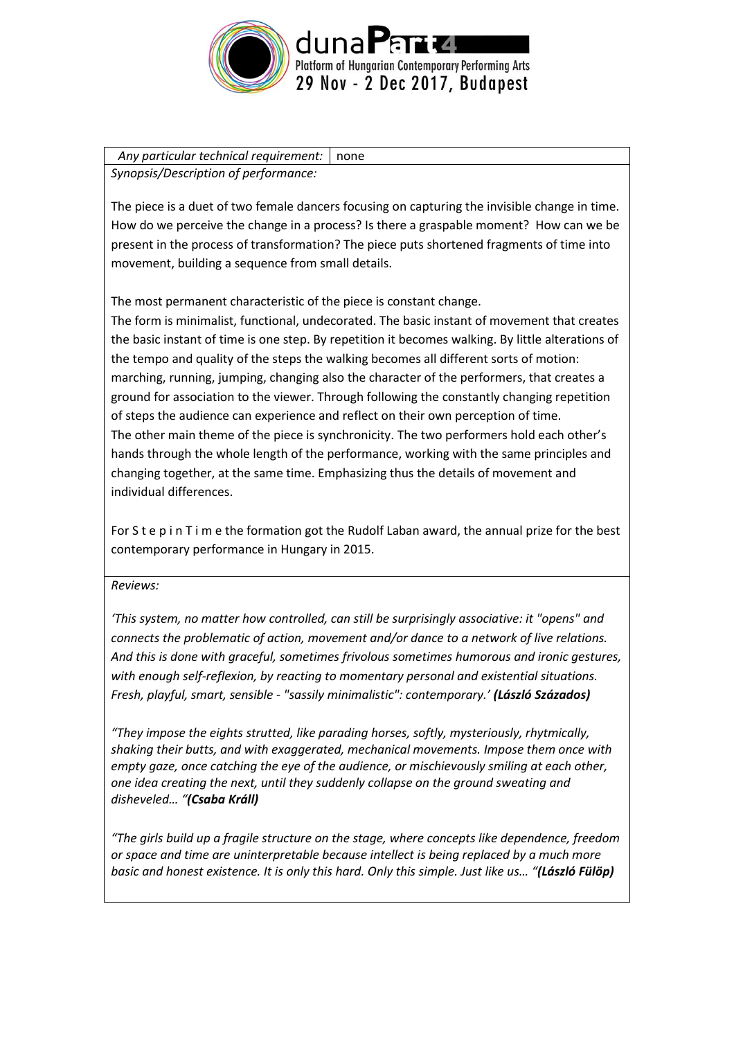

Any particular technical requirement: none *Synopsis/Description of performance:*

The piece is a duet of two female dancers focusing on capturing the invisible change in time. How do we perceive the change in a process? Is there a graspable moment? How can we be present in the process of transformation? The piece puts shortened fragments of time into movement, building a sequence from small details.

The most permanent characteristic of the piece is constant change.

The form is minimalist, functional, undecorated. The basic instant of movement that creates the basic instant of time is one step. By repetition it becomes walking. By little alterations of the tempo and quality of the steps the walking becomes all different sorts of motion: marching, running, jumping, changing also the character of the performers, that creates a ground for association to the viewer. Through following the constantly changing repetition of steps the audience can experience and reflect on their own perception of time. The other main theme of the piece is synchronicity. The two performers hold each other's hands through the whole length of the performance, working with the same principles and changing together, at the same time. Emphasizing thus the details of movement and individual differences.

For S t e p i n T i m e the formation got the Rudolf Laban award, the annual prize for the best contemporary performance in Hungary in 2015.

## *Reviews:*

*'This system, no matter how controlled, can still be surprisingly associative: it "opens" and connects the problematic of action, movement and/or dance to a network of live relations. And this is done with graceful, sometimes frivolous sometimes humorous and ironic gestures, with enough self-reflexion, by reacting to momentary personal and existential situations. Fresh, playful, smart, sensible - "sassily minimalistic": contemporary.' (László Százados)*

*"They impose the eights strutted, like parading horses, softly, mysteriously, rhytmically, shaking their butts, and with exaggerated, mechanical movements. Impose them once with empty gaze, once catching the eye of the audience, or mischievously smiling at each other, one idea creating the next, until they suddenly collapse on the ground sweating and disheveled… "(Csaba Králl)*

*"The girls build up a fragile structure on the stage, where concepts like dependence, freedom or space and time are uninterpretable because intellect is being replaced by a much more basic and honest existence. It is only this hard. Only this simple. Just like us… "(László Fülöp)*